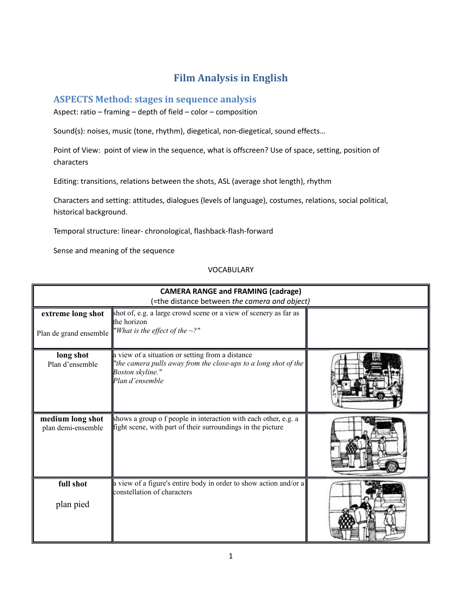# **Film Analysis in English**

# **ASPECTS Method: stages in sequence analysis**

Aspect: ratio – framing – depth of field – color – composition

Sound(s): noises, music (tone, rhythm), diegetical, non-diegetical, sound effects…

Point of View: point of view in the sequence, what is offscreen? Use of space, setting, position of characters

Editing: transitions, relations between the shots, ASL (average shot length), rhythm

Characters and setting: attitudes, dialogues (levels of language), costumes, relations, social political, historical background.

Temporal structure: linear- chronological, flashback-flash-forward

Sense and meaning of the sequence

## VOCABULARY

| <b>CAMERA RANGE and FRAMING (cadrage)</b>   |                                                                                                                                                            |  |
|---------------------------------------------|------------------------------------------------------------------------------------------------------------------------------------------------------------|--|
|                                             | (=the distance between the camera and object)                                                                                                              |  |
| extreme long shot<br>Plan de grand ensemble | shot of, e.g. a large crowd scene or a view of scenery as far as<br>the horizon<br>"What is the effect of the $\sim$ ?"                                    |  |
| long shot<br>Plan d'ensemble                | a view of a situation or setting from a distance<br>"the camera pulls away from the close-ups to a long shot of the<br>Boston skyline."<br>Plan d'ensemble |  |
| medium long shot<br>plan demi-ensemble      | shows a group o f people in interaction with each other, e.g. a<br>fight scene, with part of their surroundings in the picture                             |  |
| full shot<br>plan pied                      | a view of a figure's entire body in order to show action and/or a<br>constellation of characters                                                           |  |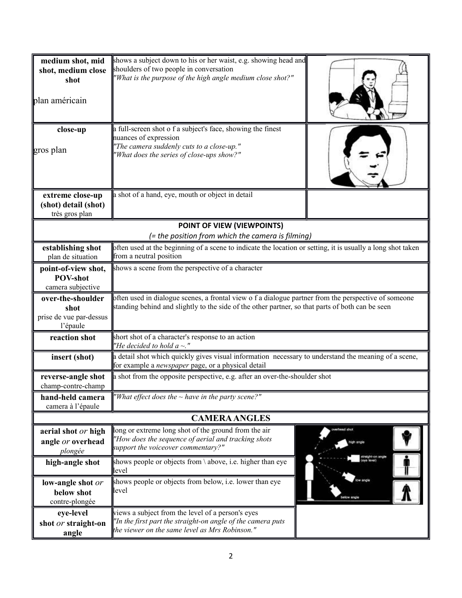| medium shot, mid<br>shot, medium close<br>shot<br>plan américain | shows a subject down to his or her waist, e.g. showing head and<br>shoulders of two people in conversation<br>"What is the purpose of the high angle medium close shot?"                                 |                  |
|------------------------------------------------------------------|----------------------------------------------------------------------------------------------------------------------------------------------------------------------------------------------------------|------------------|
| close-up<br>gros plan                                            | a full-screen shot o f a subject's face, showing the finest<br>nuances of expression<br>"The camera suddenly cuts to a close-up."<br>'What does the series of close-ups show?"                           |                  |
| extreme close-up                                                 | a shot of a hand, eye, mouth or object in detail                                                                                                                                                         |                  |
| (shot) detail (shot)<br>très gros plan                           |                                                                                                                                                                                                          |                  |
|                                                                  | POINT OF VIEW (VIEWPOINTS)                                                                                                                                                                               |                  |
|                                                                  | (= the position from which the camera is filming)                                                                                                                                                        |                  |
| establishing shot                                                | often used at the beginning of a scene to indicate the location or setting, it is usually a long shot taken                                                                                              |                  |
| plan de situation                                                | from a neutral position                                                                                                                                                                                  |                  |
| point-of-view shot,<br><b>POV-shot</b>                           | shows a scene from the perspective of a character                                                                                                                                                        |                  |
| camera subjective                                                |                                                                                                                                                                                                          |                  |
| over-the-shoulder<br>shot<br>prise de vue par-dessus<br>l'épaule | often used in dialogue scenes, a frontal view o f a dialogue partner from the perspective of someone<br>standing behind and slightly to the side of the other partner, so that parts of both can be seen |                  |
| reaction shot                                                    | short shot of a character's response to an action<br>"He decided to hold $a \sim$ ."                                                                                                                     |                  |
| insert (shot)                                                    | a detail shot which quickly gives visual information necessary to understand the meaning of a scene,<br>for example a <i>newspaper</i> page, or a physical detail                                        |                  |
| reverse-angle shot<br>champ-contre-champ                         | a shot from the opposite perspective, e.g. after an over-the-shoulder shot                                                                                                                               |                  |
| hand-held camera<br>camera à l'épaule                            | "What effect does the $\sim$ have in the party scene?"                                                                                                                                                   |                  |
|                                                                  | <b>CAMERA ANGLES</b>                                                                                                                                                                                     |                  |
| aerial shot or high<br>angle or overhead<br>plongée              | long or extreme long shot of the ground from the air<br>"How does the sequence of aerial and tracking shots<br>support the voiceover commentary?"                                                        | vich anck        |
| high-angle shot                                                  | shows people or objects from \ above, i.e. higher than eye<br>level                                                                                                                                      | treight-on angle |
| low-angle shot or<br>below shot<br>contre-plongée                | shows people or objects from below, i.e. lower than eye<br>level                                                                                                                                         | rlow angle       |
| eye-level<br>shot or straight-on<br>angle                        | views a subject from the level of a person's eyes<br>"In the first part the straight-on angle of the camera puts<br>the viewer on the same level as Mrs Robinson."                                       |                  |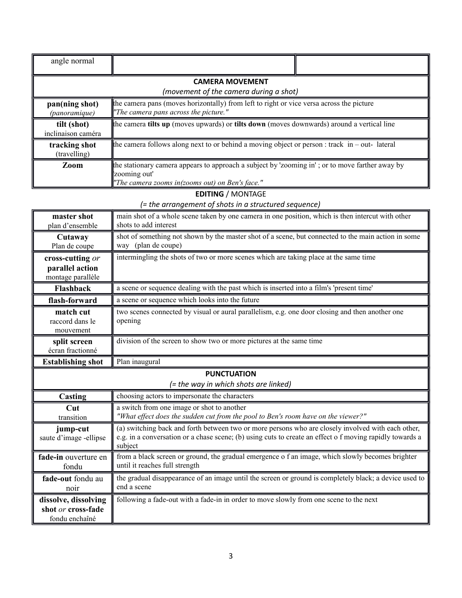| angle normal                      |                                                                                                                                                                    |  |
|-----------------------------------|--------------------------------------------------------------------------------------------------------------------------------------------------------------------|--|
|                                   | <b>CAMERA MOVEMENT</b><br>(movement of the camera during a shot)                                                                                                   |  |
| pan(ning shot)<br>(panoramique)   | the camera pans (moves horizontally) from left to right or vice versa across the picture<br>"The camera pans across the picture."                                  |  |
| tilt (shot)<br>inclinaison caméra | the camera tilts up (moves upwards) or tilts down (moves downwards) around a vertical line                                                                         |  |
| tracking shot<br>(travelling)     | the camera follows along next to or behind a moving object or person : track $\pi$ -out-lateral                                                                    |  |
| Zoom                              | the stationary camera appears to approach a subject by 'zooming in'; or to move farther away by<br>zooming out'<br>"The camera zooms in(zooms out) on Ben's face." |  |

## **EDITING** / MONTAGE

*(= the arrangement of shots in a structured sequence)*

| master shot<br>plan d'ensemble                           | main shot of a whole scene taken by one camera in one position, which is then intercut with other<br>shots to add interest                                                                                                |
|----------------------------------------------------------|---------------------------------------------------------------------------------------------------------------------------------------------------------------------------------------------------------------------------|
| Cutaway<br>Plan de coupe                                 | shot of something not shown by the master shot of a scene, but connected to the main action in some<br>way (plan de coupe)                                                                                                |
| cross-cutting or<br>parallel action<br>montage parallèle | intermingling the shots of two or more scenes which are taking place at the same time                                                                                                                                     |
| <b>Flashback</b>                                         | a scene or sequence dealing with the past which is inserted into a film's 'present time'                                                                                                                                  |
| flash-forward                                            | a scene or sequence which looks into the future                                                                                                                                                                           |
| match cut<br>raccord dans le<br>mouvement                | two scenes connected by visual or aural parallelism, e.g. one door closing and then another one<br>opening                                                                                                                |
| split screen<br>écran fractionné                         | division of the screen to show two or more pictures at the same time                                                                                                                                                      |
| <b>Establishing shot</b>                                 | Plan inaugural                                                                                                                                                                                                            |
| <b>PUNCTUATION</b>                                       |                                                                                                                                                                                                                           |
|                                                          | (= the way in which shots are linked)                                                                                                                                                                                     |
| Casting                                                  | choosing actors to impersonate the characters                                                                                                                                                                             |
| Cut<br>transition                                        | a switch from one image or shot to another<br>"What effect does the sudden cut from the pool to Ben's room have on the viewer?"                                                                                           |
| jump-cut<br>saute d'image -ellipse                       | (a) switching back and forth between two or more persons who are closely involved with each other,<br>e.g. in a conversation or a chase scene; (b) using cuts to create an effect o f moving rapidly towards a<br>subject |
| fade-in ouverture en<br>fondu                            | from a black screen or ground, the gradual emergence of an image, which slowly becomes brighter<br>until it reaches full strength                                                                                         |
| fade-out fondu au<br>noir                                | the gradual disappearance of an image until the screen or ground is completely black; a device used to<br>end a scene                                                                                                     |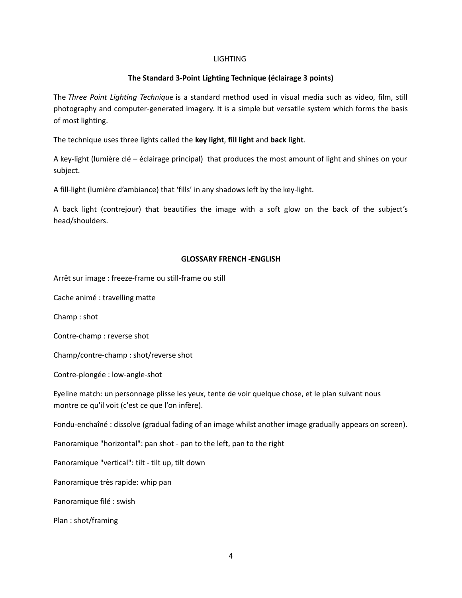#### LIGHTING

### **The Standard 3-Point Lighting Technique (éclairage 3 points)**

The *Three Point Lighting Technique* is a standard method used in visual media such as video, film, still photography and computer-generated imagery. It is a simple but versatile system which forms the basis of most lighting.

The technique uses three lights called the **key light**, **fill light** and **back light**.

A key-light (lumière clé – éclairage principal) that produces the most amount of light and shines on your subject.

A fill-light (lumière d'ambiance) that 'fills' in any shadows left by the key-light.

A back light (contrejour) that beautifies the image with a soft glow on the back of the subject's head/shoulders.

#### **GLOSSARY FRENCH -ENGLISH**

Arrêt sur image : freeze-frame ou still-frame ou still

Cache animé : travelling matte

Champ : shot

Contre-champ : reverse shot

Champ/contre-champ : shot/reverse shot

Contre-plongée : low-angle-shot

Eyeline match: un personnage plisse les yeux, tente de voir quelque chose, et le plan suivant nous montre ce qu'il voit (c'est ce que l'on infère).

Fondu-enchaîné : dissolve (gradual fading of an image whilst another image gradually appears on screen).

Panoramique "horizontal": pan shot - pan to the left, pan to the right

Panoramique "vertical": tilt - tilt up, tilt down

Panoramique très rapide: whip pan

Panoramique filé : swish

Plan : shot/framing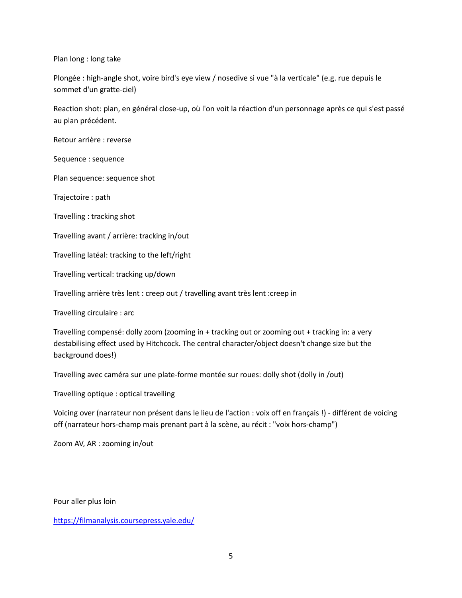Plan long : long take

Plongée : high-angle shot, voire bird's eye view / nosedive si vue "à la verticale" (e.g. rue depuis le sommet d'un gratte-ciel)

Reaction shot: plan, en général close-up, où l'on voit la réaction d'un personnage après ce qui s'est passé au plan précédent.

Retour arrière : reverse

Sequence : sequence

Plan sequence: sequence shot

Trajectoire : path

Travelling : tracking shot

Travelling avant / arrière: tracking in/out

Travelling latéal: tracking to the left/right

Travelling vertical: tracking up/down

Travelling arrière très lent : creep out / travelling avant très lent :creep in

Travelling circulaire : arc

Travelling compensé: dolly zoom (zooming in + tracking out or zooming out + tracking in: a very destabilising effect used by Hitchcock. The central character/object doesn't change size but the background does!)

Travelling avec caméra sur une plate-forme montée sur roues: dolly shot (dolly in /out)

Travelling optique : optical travelling

Voicing over (narrateur non présent dans le lieu de l'action : voix off en français !) - différent de voicing off (narrateur hors-champ mais prenant part à la scène, au récit : "voix hors-champ")

Zoom AV, AR : zooming in/out

Pour aller plus loin

<https://filmanalysis.coursepress.yale.edu/>